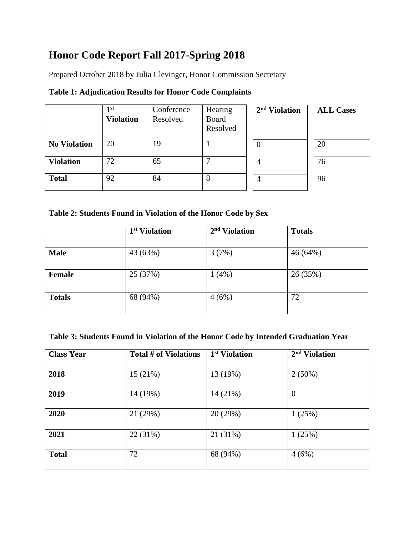## **Honor Code Report Fall 2017-Spring 2018**

Prepared October 2018 by Julia Clevinger, Honor Commission Secretary

|                     | 1 <sup>st</sup><br><b>Violation</b> | Conference<br>Resolved | Hearing<br>Board<br>Resolved | 2 <sup>nd</sup> Violation | <b>ALL Cases</b> |
|---------------------|-------------------------------------|------------------------|------------------------------|---------------------------|------------------|
| <b>No Violation</b> | 20                                  | 19                     |                              | $\theta$                  | 20               |
| <b>Violation</b>    | 72                                  | 65                     |                              |                           | 76               |
| <b>Total</b>        | 92                                  | 84                     | 8                            | 4                         | 96               |

**Table 1: Adjudication Results for Honor Code Complaints**

|  | Table 2: Students Found in Violation of the Honor Code by Sex |  |  |  |
|--|---------------------------------------------------------------|--|--|--|
|  |                                                               |  |  |  |

|               | 1 <sup>st</sup> Violation | 2 <sup>nd</sup> Violation | <b>Totals</b> |
|---------------|---------------------------|---------------------------|---------------|
| <b>Male</b>   | 43 (63%)                  | 3(7%)                     | 46 (64%)      |
| Female        | 25 (37%)                  | 1(4%)                     | 26 (35%)      |
| <b>Totals</b> | 68 (94%)                  | 4(6%)                     | 72            |
|               |                           |                           |               |

| <b>Class Year</b> | <b>Total # of Violations</b> | 1 <sup>st</sup> Violation | 2 <sup>nd</sup> Violation |
|-------------------|------------------------------|---------------------------|---------------------------|
| 2018              | 15(21%)                      | 13 (19%)                  | $2(50\%)$                 |
| 2019              | 14 (19%)                     | 14 (21%)                  | $\theta$                  |
| 2020              | 21 (29%)                     | 20 (29%)                  | 1(25%)                    |
| 2021              | 22 (31%)                     | 21 (31%)                  | 1(25%)                    |
| <b>Total</b>      | 72                           | 68 (94%)                  | 4(6%)                     |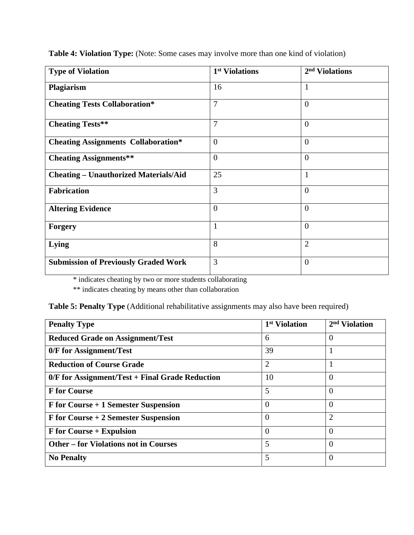| <b>Type of Violation</b>                     | 1 <sup>st</sup> Violations | 2 <sup>nd</sup> Violations |
|----------------------------------------------|----------------------------|----------------------------|
| Plagiarism                                   | 16                         | 1                          |
| <b>Cheating Tests Collaboration*</b>         | $\overline{7}$             | $\theta$                   |
| <b>Cheating Tests**</b>                      | 7                          | $\overline{0}$             |
| <b>Cheating Assignments Collaboration*</b>   | $\overline{0}$             | $\overline{0}$             |
| <b>Cheating Assignments**</b>                | $\overline{0}$             | $\theta$                   |
| <b>Cheating – Unauthorized Materials/Aid</b> | 25                         | 1                          |
| <b>Fabrication</b>                           | 3                          | $\overline{0}$             |
| <b>Altering Evidence</b>                     | $\overline{0}$             | $\theta$                   |
| <b>Forgery</b>                               | $\mathbf{1}$               | $\overline{0}$             |
| Lying                                        | 8                          | $\overline{2}$             |
| <b>Submission of Previously Graded Work</b>  | 3                          | $\overline{0}$             |

**Table 4: Violation Type:** (Note: Some cases may involve more than one kind of violation)

\* indicates cheating by two or more students collaborating

\*\* indicates cheating by means other than collaboration

| Table 5: Penalty Type (Additional rehabilitative assignments may also have been required) |  |  |  |  |
|-------------------------------------------------------------------------------------------|--|--|--|--|
|                                                                                           |  |  |  |  |

| <b>Penalty Type</b>                               | 1 <sup>st</sup> Violation | 2 <sup>nd</sup> Violation |
|---------------------------------------------------|---------------------------|---------------------------|
| <b>Reduced Grade on Assignment/Test</b>           | 6                         | $\overline{0}$            |
| 0/F for Assignment/Test                           | 39                        |                           |
| <b>Reduction of Course Grade</b>                  | $\overline{2}$            |                           |
| $0/F$ for Assignment/Test + Final Grade Reduction | 10                        | $\theta$                  |
| <b>F</b> for Course                               | 5                         | $\theta$                  |
| F for Course + 1 Semester Suspension              | $\Omega$                  | $\theta$                  |
| F for Course + 2 Semester Suspension              | $\Omega$                  | $\overline{2}$            |
| <b>F</b> for Course + Expulsion                   | $\overline{0}$            | $\overline{0}$            |
| <b>Other – for Violations not in Courses</b>      | 5                         | $\theta$                  |
| <b>No Penalty</b>                                 | 5                         | $\Omega$                  |